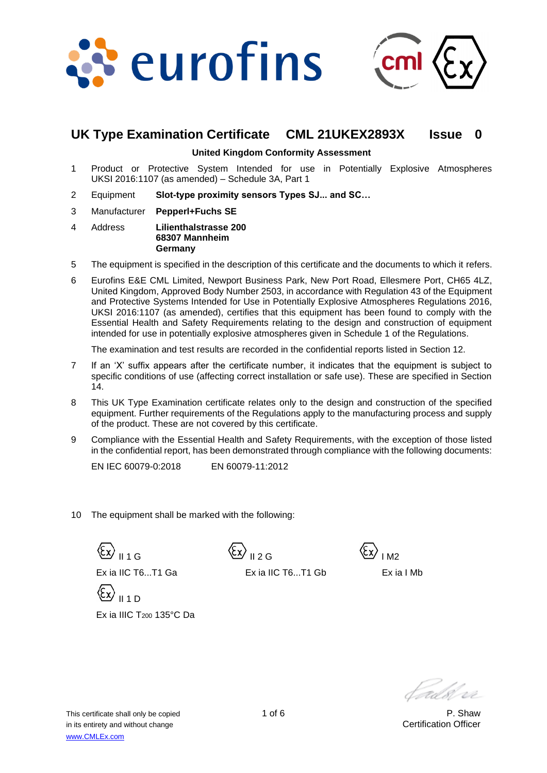



## **UK Type Examination Certificate CML 21UKEX2893X Issue 0**

#### **United Kingdom Conformity Assessment**

- 1 Product or Protective System Intended for use in Potentially Explosive Atmospheres UKSI 2016:1107 (as amended) – Schedule 3A, Part 1
- 2 Equipment **Slot-type proximity sensors Types SJ... and SC…**
- 3 Manufacturer **Pepperl+Fuchs SE**
- 4 Address **Lilienthalstrasse 200 68307 Mannheim Germany**
- 5 The equipment is specified in the description of this certificate and the documents to which it refers.
- 6 Eurofins E&E CML Limited, Newport Business Park, New Port Road, Ellesmere Port, CH65 4LZ, United Kingdom, Approved Body Number 2503, in accordance with Regulation 43 of the Equipment and Protective Systems Intended for Use in Potentially Explosive Atmospheres Regulations 2016, UKSI 2016:1107 (as amended), certifies that this equipment has been found to comply with the Essential Health and Safety Requirements relating to the design and construction of equipment intended for use in potentially explosive atmospheres given in Schedule 1 of the Regulations.

The examination and test results are recorded in the confidential reports listed in Section 12.

- 7 If an 'X' suffix appears after the certificate number, it indicates that the equipment is subject to specific conditions of use (affecting correct installation or safe use). These are specified in Section 14.
- 8 This UK Type Examination certificate relates only to the design and construction of the specified equipment. Further requirements of the Regulations apply to the manufacturing process and supply of the product. These are not covered by this certificate.
- 9 Compliance with the Essential Health and Safety Requirements, with the exception of those listed in the confidential report, has been demonstrated through compliance with the following documents:

Ex ia IIC T6...T1 Gb

EN IEC 60079-0:2018 EN 60079-11:2012

10 The equipment shall be marked with the following:

 $\langle \overline{\xi x} \rangle$   $\vert$  1 1 G Ex ia IIC T6...T1 Ga  $\langle \overline{\xi_x} \rangle$   $\vert$  1 1 D

Ex ia IIIC T<sub>200</sub> 135°C Da

 $II 2 G$ 

I M2

Ex ia I Mb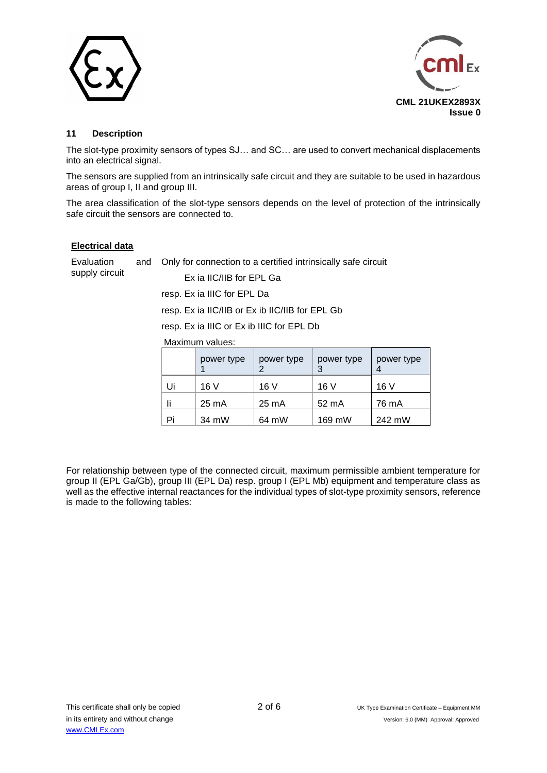



## **11 Description**

The slot-type proximity sensors of types SJ… and SC… are used to convert mechanical displacements into an electrical signal.

The sensors are supplied from an intrinsically safe circuit and they are suitable to be used in hazardous areas of group I, II and group III.

The area classification of the slot-type sensors depends on the level of protection of the intrinsically safe circuit the sensors are connected to.

#### **Electrical data**

Evaluation supply circuit Only for connection to a certified intrinsically safe circuit Ex ia IIC/IIB for EPL Ga

resp. Ex ia IIIC for EPL Da

resp. Ex ia IIC/IIB or Ex ib IIC/IIB for EPL Gb

resp. Ex ia IIIC or Ex ib IIIC for EPL Db

Maximum values:

|    | power type | power type | power type<br>3 | power type |
|----|------------|------------|-----------------|------------|
| Ui | 16 V       | 16 V       | 16 V            | 16V        |
| Ιi | 25 mA      | 25 mA      | 52 mA           | 76 mA      |
| Pi | 34 mW      | 64 mW      | 169 mW          | 242 mW     |

For relationship between type of the connected circuit, maximum permissible ambient temperature for group II (EPL Ga/Gb), group III (EPL Da) resp. group I (EPL Mb) equipment and temperature class as well as the effective internal reactances for the individual types of slot-type proximity sensors, reference is made to the following tables: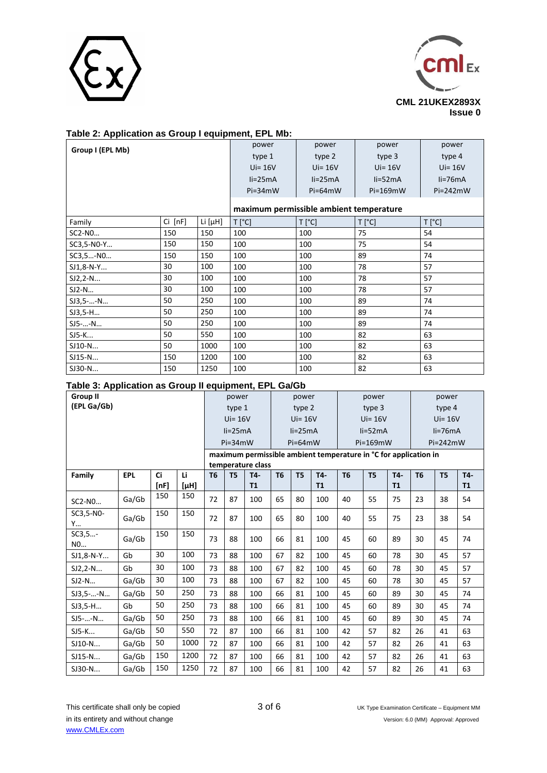



## **Table 2: Application as Group I equipment, EPL Mb:**

| Group I (EPL Mb) |           |              | power                                   | power          | power          | power          |  |  |
|------------------|-----------|--------------|-----------------------------------------|----------------|----------------|----------------|--|--|
|                  |           |              | type 1                                  | type 2         | type 3         | type 4         |  |  |
|                  |           |              | $Ui = 16V$                              | $Ui = 16V$     | $Ui = 16V$     | $Ui = 16V$     |  |  |
|                  |           |              | $li=25mA$                               | $li=25mA$      | $li=52mA$      | $li=76mA$      |  |  |
|                  |           |              | $Pi=34mW$                               | $Pi=64mW$      | $Pi=169mW$     | $Pi=242mW$     |  |  |
|                  |           |              | maximum permissible ambient temperature |                |                |                |  |  |
| Family           | $Ci$ [nF] | Li $[\mu H]$ | $T[^{\circ}C]$                          | $T[^{\circ}C]$ | $T[^{\circ}C]$ | $T[^{\circ}C]$ |  |  |
| SC2-NO           | 150       | 150          | 100                                     | 100            | 75             | 54             |  |  |
| SC3,5-N0-Y       | 150       | 150          | 100                                     | 100            | 75             | 54             |  |  |
| SC3,5-NO         | 150       | 150          | 100                                     | 100            | 89             | 74             |  |  |
| $SJ1,8-N-Y$      | 30        | 100          | 100                                     | 100            | 78             | 57             |  |  |
| $SJ2,2-N$        | 30        | 100          | 100                                     | 100            | 78             | 57             |  |  |
| $SJ2-N$          | 30        | 100          | 100                                     | 100            | 78             | 57             |  |  |
| $SJ3,5--N$       | 50        | 250          | 100                                     | 100            | 89             | 74             |  |  |
| $SJ3,5-H$        | 50        | 250          | 100                                     | 100            | 89             | 74             |  |  |
| SJ5--N           | 50        | 250          | 100                                     | 100            | 89             | 74             |  |  |
| SJ5-K            | 50        | 550          | 100                                     | 100            | 82             | 63             |  |  |
| $SJ10-N$         | 50        | 1000         | 100                                     | 100            | 82             | 63             |  |  |
| $SJ15-N$         | 150       | 1200         | 100                                     | 100            | 82             | 63             |  |  |
| SJ30-N           | 150       | 1250         | 100                                     | 100            | 82             | 63             |  |  |

## **Table 3: Application as Group II equipment, EPL Ga/Gb**

| <b>Group II</b>  |            |            |            |                | power          |                   |                | power          |                  |                                                                  | power          |           |                | power          |                  |
|------------------|------------|------------|------------|----------------|----------------|-------------------|----------------|----------------|------------------|------------------------------------------------------------------|----------------|-----------|----------------|----------------|------------------|
| (EPL Ga/Gb)      |            |            | type 1     |                | type 2         |                   | type 3         |                | type 4           |                                                                  |                |           |                |                |                  |
|                  |            |            |            | $Ui = 16V$     |                | $Ui = 16V$        |                | $Ui = 16V$     |                  | $Ui = 16V$                                                       |                |           |                |                |                  |
|                  |            |            |            |                | $li=25mA$      |                   | $li=25mA$      |                | $li=52mA$        |                                                                  | $li=76mA$      |           |                |                |                  |
|                  |            |            |            |                | $Pi=34mW$      |                   | $Pi=64mW$      |                | Pi=169mW         |                                                                  | $Pi=242mW$     |           |                |                |                  |
|                  |            |            |            |                |                | temperature class |                |                |                  | maximum permissible ambient temperature in °C for application in |                |           |                |                |                  |
| Family           | <b>EPL</b> | Ci<br>[nF] | Li<br>[µH] | T <sub>6</sub> | T <sub>5</sub> | T4-<br>T1         | T <sub>6</sub> | T <sub>5</sub> | T4-<br><b>T1</b> | T <sub>6</sub>                                                   | T <sub>5</sub> | T4-<br>T1 | T <sub>6</sub> | T <sub>5</sub> | T4-<br><b>T1</b> |
| SC2-N0           | Ga/Gb      | 150        | 150        | 72             | 87             | 100               | 65             | 80             | 100              | 40                                                               | 55             | 75        | 23             | 38             | 54               |
| SC3,5-N0-<br>Y   | Ga/Gb      | 150        | 150        | 72             | 87             | 100               | 65             | 80             | 100              | 40                                                               | 55             | 75        | 23             | 38             | 54               |
| $SC3, 5$ -<br>NO | Ga/Gb      | 150        | 150        | 73             | 88             | 100               | 66             | 81             | 100              | 45                                                               | 60             | 89        | 30             | 45             | 74               |
| $SJ1,8-N-Y$      | Gb         | 30         | 100        | 73             | 88             | 100               | 67             | 82             | 100              | 45                                                               | 60             | 78        | 30             | 45             | 57               |
| $SJ2,2-N$        | Gb         | 30         | 100        | 73             | 88             | 100               | 67             | 82             | 100              | 45                                                               | 60             | 78        | 30             | 45             | 57               |
| SJ2-N            | Ga/Gb      | 30         | 100        | 73             | 88             | 100               | 67             | 82             | 100              | 45                                                               | 60             | 78        | 30             | 45             | 57               |
| SJ3,5--N         | Ga/Gb      | 50         | 250        | 73             | 88             | 100               | 66             | 81             | 100              | 45                                                               | 60             | 89        | 30             | 45             | 74               |
| SJ3,5-H          | Gb         | 50         | 250        | 73             | 88             | 100               | 66             | 81             | 100              | 45                                                               | 60             | 89        | 30             | 45             | 74               |
| SJ5--N           | Ga/Gb      | 50         | 250        | 73             | 88             | 100               | 66             | 81             | 100              | 45                                                               | 60             | 89        | 30             | 45             | 74               |
| SJ5-K            | Ga/Gb      | 50         | 550        | 72             | 87             | 100               | 66             | 81             | 100              | 42                                                               | 57             | 82        | 26             | 41             | 63               |
| $SJ10-N$         | Ga/Gb      | 50         | 1000       | 72             | 87             | 100               | 66             | 81             | 100              | 42                                                               | 57             | 82        | 26             | 41             | 63               |
| $SJ15-N$         | Ga/Gb      | 150        | 1200       | 72             | 87             | 100               | 66             | 81             | 100              | 42                                                               | 57             | 82        | 26             | 41             | 63               |
| $SJ30-N$         | Ga/Gb      | 150        | 1250       | 72             | 87             | 100               | 66             | 81             | 100              | 42                                                               | 57             | 82        | 26             | 41             | 63               |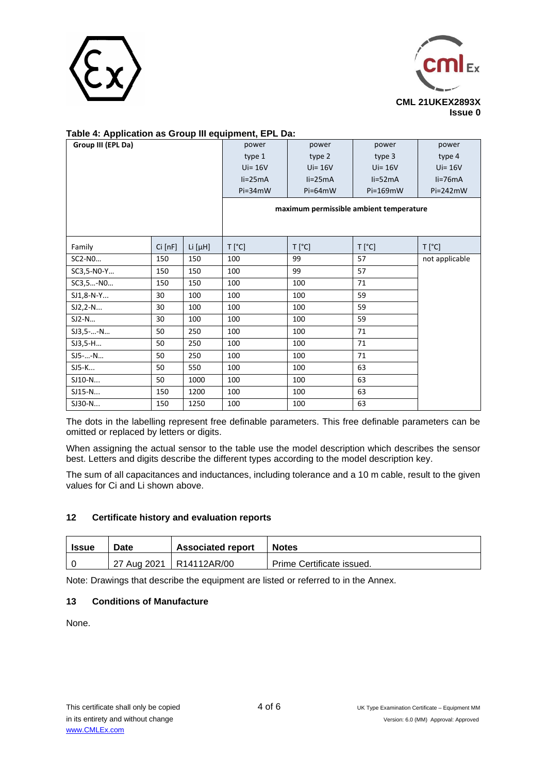



## **Table 4: Application as Group III equipment, EPL Da:**

| Group III (EPL Da) |           |                 | power          | power          | power                                   | power          |
|--------------------|-----------|-----------------|----------------|----------------|-----------------------------------------|----------------|
|                    |           |                 | type 1         | type 2         | type 3                                  | type 4         |
|                    |           |                 | $Ui = 16V$     | $Ui = 16V$     | $Ui = 16V$                              | $Ui = 16V$     |
|                    |           |                 | $li=25mA$      | $li=25mA$      | $li=52mA$                               | $li=76mA$      |
|                    |           |                 | $Pi=34mW$      | Pi=64mW        | Pi=169mW                                | $Pi=242mW$     |
|                    |           |                 |                |                | maximum permissible ambient temperature |                |
| Family             | $Ci$ [nF] | $Li$ [ $\mu$ H] | $T[^{\circ}C]$ | $T[^{\circ}C]$ | $T[^{\circ}C]$                          | $T[^{\circ}C]$ |
| SC2-NO             | 150       | 150             | 100            | 99             | 57                                      | not applicable |
| SC3,5-N0-Y         | 150       | 150             | 100            | 99             | 57                                      |                |
| SC3,5-NO           | 150       | 150             | 100            | 100            | 71                                      |                |
| $SJ1,8-N-Y$        | 30        | 100             | 100            | 100            | 59                                      |                |
| $SJ2,2-N$          | 30        | 100             | 100            | 100            | 59                                      |                |
| SJ2-N              | 30        | 100             | 100            | 100            | 59                                      |                |
| SJ3,5--N           | 50        | 250             | 100            | 100            | 71                                      |                |
| $SJ3,5-H$          | 50        | 250             | 100            | 100            | 71                                      |                |
| SJ5--N             | 50        | 250             | 100            | 100            | 71                                      |                |
| SJ5-K              | 50        | 550             | 100            | 100            | 63                                      |                |
| $SJ10-N$           | 50        | 1000            | 100            | 100            | 63                                      |                |
| $SJ15-N$           | 150       | 1200            | 100            | 100            | 63                                      |                |
| SJ30-N             | 150       | 1250            | 100            | 100            | 63                                      |                |

The dots in the labelling represent free definable parameters. This free definable parameters can be omitted or replaced by letters or digits.

When assigning the actual sensor to the table use the model description which describes the sensor best. Letters and digits describe the different types according to the model description key.

The sum of all capacitances and inductances, including tolerance and a 10 m cable, result to the given values for Ci and Li shown above.

#### **12 Certificate history and evaluation reports**

| <b>Issue</b> | Date | <b>Associated report</b>  | <b>Notes</b>              |
|--------------|------|---------------------------|---------------------------|
|              |      | 27 Aug 2021   R14112AR/00 | Prime Certificate issued. |

Note: Drawings that describe the equipment are listed or referred to in the Annex.

#### **13 Conditions of Manufacture**

None.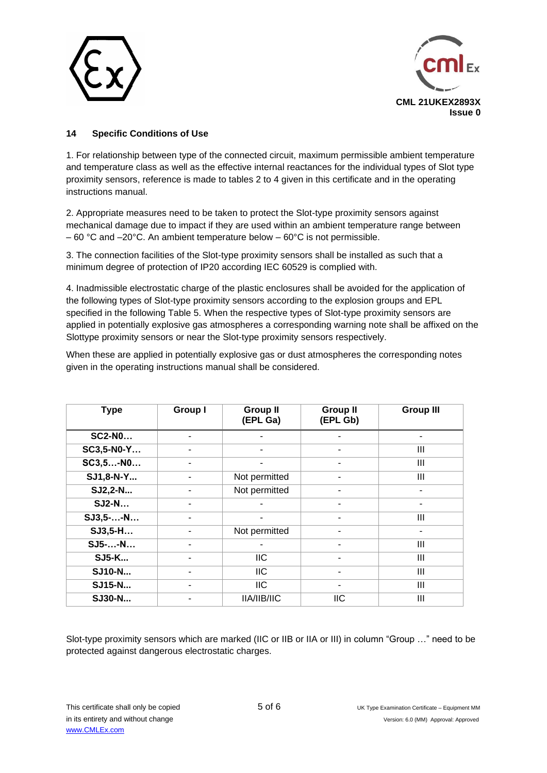



## **14 Specific Conditions of Use**

1. For relationship between type of the connected circuit, maximum permissible ambient temperature and temperature class as well as the effective internal reactances for the individual types of Slot type proximity sensors, reference is made to tables 2 to 4 given in this certificate and in the operating instructions manual.

2. Appropriate measures need to be taken to protect the Slot-type proximity sensors against mechanical damage due to impact if they are used within an ambient temperature range between  $-60$  °C and  $-20$ °C. An ambient temperature below  $-60$ °C is not permissible.

3. The connection facilities of the Slot-type proximity sensors shall be installed as such that a minimum degree of protection of IP20 according IEC 60529 is complied with.

4. Inadmissible electrostatic charge of the plastic enclosures shall be avoided for the application of the following types of Slot-type proximity sensors according to the explosion groups and EPL specified in the following Table 5. When the respective types of Slot-type proximity sensors are applied in potentially explosive gas atmospheres a corresponding warning note shall be affixed on the Slottype proximity sensors or near the Slot-type proximity sensors respectively.

When these are applied in potentially explosive gas or dust atmospheres the corresponding notes given in the operating instructions manual shall be considered.

| <b>Type</b>    | <b>Group I</b> | <b>Group II</b><br>(EPL Ga) | <b>Group II</b><br>(EPL Gb) | <b>Group III</b> |
|----------------|----------------|-----------------------------|-----------------------------|------------------|
| <b>SC2-N0</b>  | ۰              | ۰                           |                             | ۰                |
| SC3,5-N0-Y     |                |                             |                             | Ш                |
| SC3, 5N0       | ٠              | ۰                           | ۰                           | III              |
| SJ1,8-N-Y      |                | Not permitted               |                             | III              |
| SJ2,2-N        | ٠              | Not permitted               | ٠                           | ۰                |
| <b>SJ2-N</b>   |                |                             |                             |                  |
| $SJ3,5$ -- $N$ | ٠              | ٠                           | ٠                           | Ш                |
| $SJ3,5-H$      |                | Not permitted               |                             |                  |
| SJ5--N         | ۰              | $\overline{\phantom{0}}$    | ٠                           | Ш                |
| <b>SJ5-K</b>   |                | <b>IIC</b>                  |                             | Ш                |
| <b>SJ10-N</b>  | ۰              | <b>IIC</b>                  | ٠                           | III              |
| <b>SJ15-N</b>  |                | <b>IIC</b>                  |                             | III              |
| <b>SJ30-N</b>  |                | IIA/IIB/IIC                 | <b>IIC</b>                  | III              |

Slot-type proximity sensors which are marked (IIC or IIB or IIA or III) in column "Group …" need to be protected against dangerous electrostatic charges.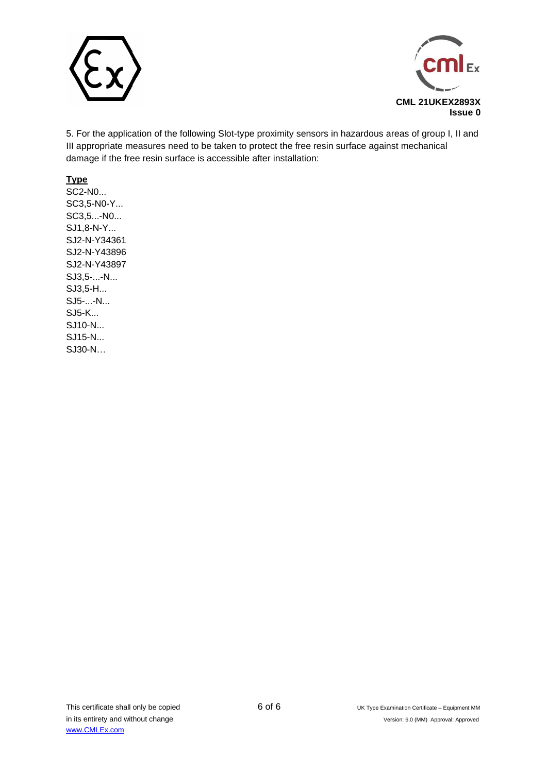



5. For the application of the following Slot-type proximity sensors in hazardous areas of group I, II and III appropriate measures need to be taken to protect the free resin surface against mechanical damage if the free resin surface is accessible after installation:

## **Type**

SC2-N0... SC3,5-N0-Y... SC3,5...-N0... SJ1,8-N-Y... SJ2-N-Y34361 SJ2-N-Y43896 SJ2-N-Y43897 SJ3,5-...-N... SJ3,5-H... SJ5-...-N... SJ5-K... SJ10-N... SJ15-N... SJ30-N…